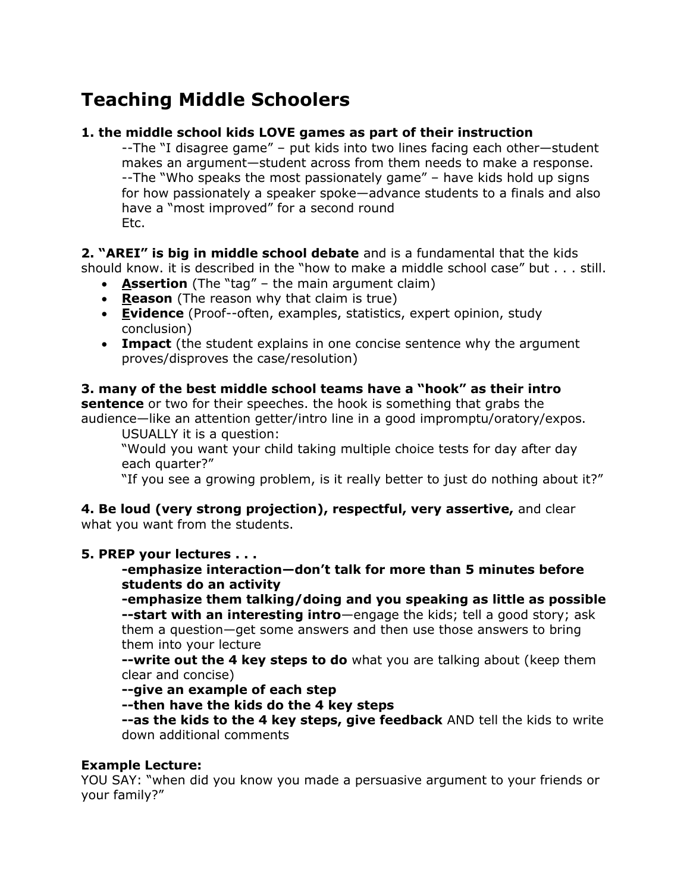## **Teaching Middle Schoolers**

## **1. the middle school kids LOVE games as part of their instruction**

--The "I disagree game" – put kids into two lines facing each other—student makes an argument—student across from them needs to make a response. --The "Who speaks the most passionately game" – have kids hold up signs for how passionately a speaker spoke—advance students to a finals and also have a "most improved" for a second round Etc.

**2. "AREI" is big in middle school debate** and is a fundamental that the kids should know. it is described in the "how to make a middle school case" but . . . still.

- **Assertion** (The "tag" the main argument claim)
- **Reason** (The reason why that claim is true)
- **Evidence** (Proof--often, examples, statistics, expert opinion, study conclusion)
- **Impact** (the student explains in one concise sentence why the argument proves/disproves the case/resolution)

**3. many of the best middle school teams have a "hook" as their intro sentence** or two for their speeches. the hook is something that grabs the audience—like an attention getter/intro line in a good impromptu/oratory/expos.

USUALLY it is a question:

"Would you want your child taking multiple choice tests for day after day each quarter?"

"If you see a growing problem, is it really better to just do nothing about it?"

**4. Be loud (very strong projection), respectful, very assertive,** and clear what you want from the students.

## **5. PREP your lectures . . .**

**-emphasize interaction—don't talk for more than 5 minutes before students do an activity**

**-emphasize them talking/doing and you speaking as little as possible --start with an interesting intro**—engage the kids; tell a good story; ask them a question—get some answers and then use those answers to bring them into your lecture

**--write out the 4 key steps to do** what you are talking about (keep them clear and concise)

**--give an example of each step**

**--then have the kids do the 4 key steps**

**--as the kids to the 4 key steps, give feedback** AND tell the kids to write down additional comments

## **Example Lecture:**

YOU SAY: "when did you know you made a persuasive argument to your friends or your family?"